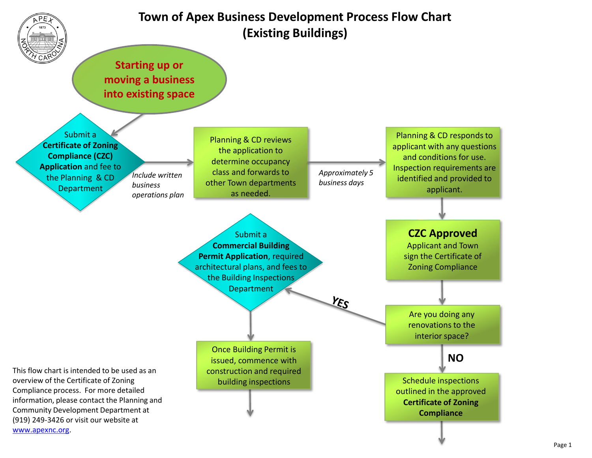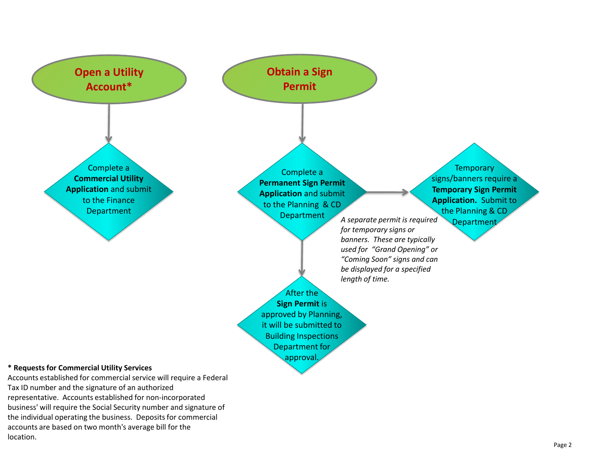

representative. Accounts established for non-incorporated business' will require the Social Security number and signature of the individual operating the business. Deposits for commercial accounts are based on two month's average bill for the location.